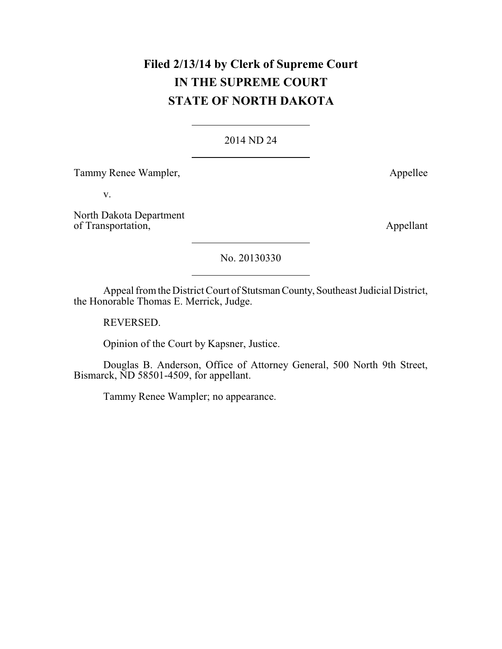# **Filed 2/13/14 by Clerk of Supreme Court IN THE SUPREME COURT STATE OF NORTH DAKOTA**

### 2014 ND 24

Tammy Renee Wampler, and the Manuscripture of the Appellee Appellee

v.

North Dakota Department of Transportation, Appellant

No. 20130330

Appeal from the District Court of Stutsman County, Southeast Judicial District, the Honorable Thomas E. Merrick, Judge.

REVERSED.

Opinion of the Court by Kapsner, Justice.

Douglas B. Anderson, Office of Attorney General, 500 North 9th Street, Bismarck, ND 58501-4509, for appellant.

Tammy Renee Wampler; no appearance.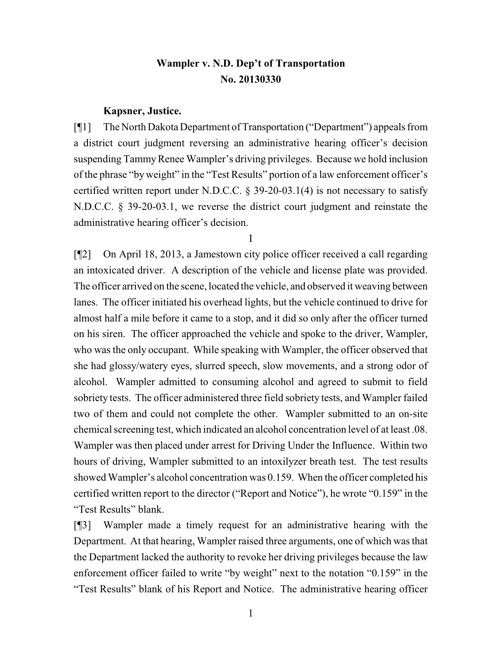## **Wampler v. N.D. Dep't of Transportation No. 20130330**

#### **Kapsner, Justice.**

[¶1] The North Dakota Department of Transportation ("Department") appeals from a district court judgment reversing an administrative hearing officer's decision suspending Tammy Renee Wampler's driving privileges. Because we hold inclusion of the phrase "byweight" in the "Test Results" portion of a law enforcement officer's certified written report under N.D.C.C. § 39-20-03.1(4) is not necessary to satisfy N.D.C.C. § 39-20-03.1, we reverse the district court judgment and reinstate the administrative hearing officer's decision.

I

[¶2] On April 18, 2013, a Jamestown city police officer received a call regarding an intoxicated driver. A description of the vehicle and license plate was provided. The officer arrived on the scene, located the vehicle, and observed it weaving between lanes. The officer initiated his overhead lights, but the vehicle continued to drive for almost half a mile before it came to a stop, and it did so only after the officer turned on his siren. The officer approached the vehicle and spoke to the driver, Wampler, who was the only occupant. While speaking with Wampler, the officer observed that she had glossy/watery eyes, slurred speech, slow movements, and a strong odor of alcohol. Wampler admitted to consuming alcohol and agreed to submit to field sobriety tests. The officer administered three field sobriety tests, and Wampler failed two of them and could not complete the other. Wampler submitted to an on-site chemical screening test, which indicated an alcohol concentration level of at least .08. Wampler was then placed under arrest for Driving Under the Influence. Within two hours of driving, Wampler submitted to an intoxilyzer breath test. The test results showed Wampler's alcohol concentration was 0.159. When the officer completed his certified written report to the director ("Report and Notice"), he wrote "0.159" in the "Test Results" blank.

[¶3] Wampler made a timely request for an administrative hearing with the Department. At that hearing, Wampler raised three arguments, one of which was that the Department lacked the authority to revoke her driving privileges because the law enforcement officer failed to write "by weight" next to the notation "0.159" in the "Test Results" blank of his Report and Notice. The administrative hearing officer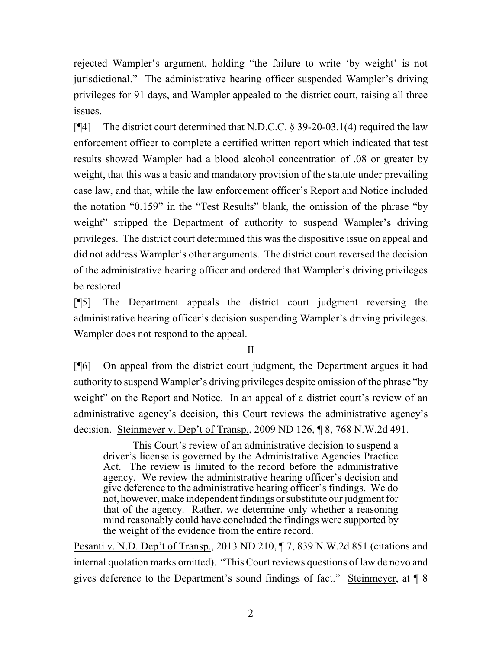rejected Wampler's argument, holding "the failure to write 'by weight' is not jurisdictional." The administrative hearing officer suspended Wampler's driving privileges for 91 days, and Wampler appealed to the district court, raising all three issues.

[¶4] The district court determined that N.D.C.C. § 39-20-03.1(4) required the law enforcement officer to complete a certified written report which indicated that test results showed Wampler had a blood alcohol concentration of .08 or greater by weight, that this was a basic and mandatory provision of the statute under prevailing case law, and that, while the law enforcement officer's Report and Notice included the notation "0.159" in the "Test Results" blank, the omission of the phrase "by weight" stripped the Department of authority to suspend Wampler's driving privileges. The district court determined this was the dispositive issue on appeal and did not address Wampler's other arguments. The district court reversed the decision of the administrative hearing officer and ordered that Wampler's driving privileges be restored.

[¶5] The Department appeals the district court judgment reversing the administrative hearing officer's decision suspending Wampler's driving privileges. Wampler does not respond to the appeal.

II

[¶6] On appeal from the district court judgment, the Department argues it had authority to suspend Wampler's driving privileges despite omission of the phrase "by weight" on the Report and Notice. In an appeal of a district court's review of an administrative agency's decision, this Court reviews the administrative agency's decision. Steinmeyer v. Dep't of Transp., 2009 ND 126, ¶ 8, 768 N.W.2d 491.

This Court's review of an administrative decision to suspend a driver's license is governed by the Administrative Agencies Practice Act. The review is limited to the record before the administrative agency. We review the administrative hearing officer's decision and give deference to the administrative hearing officer's findings. We do not, however, make independent findings or substitute our judgment for that of the agency. Rather, we determine only whether a reasoning mind reasonably could have concluded the findings were supported by the weight of the evidence from the entire record.

Pesanti v. N.D. Dep't of Transp., 2013 ND 210, ¶ 7, 839 N.W.2d 851 (citations and internal quotation marks omitted). "This Court reviews questions of law de novo and gives deference to the Department's sound findings of fact." Steinmeyer, at ¶ 8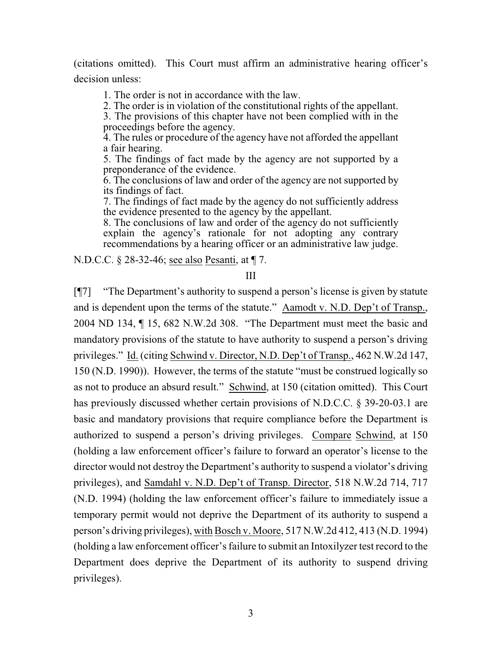(citations omitted). This Court must affirm an administrative hearing officer's decision unless:

1. The order is not in accordance with the law.

2. The order is in violation of the constitutional rights of the appellant.

3. The provisions of this chapter have not been complied with in the proceedings before the agency.

4. The rules or procedure of the agency have not afforded the appellant a fair hearing.

5. The findings of fact made by the agency are not supported by a preponderance of the evidence.

6. The conclusions of law and order of the agency are not supported by its findings of fact.

7. The findings of fact made by the agency do not sufficiently address the evidence presented to the agency by the appellant.

8. The conclusions of law and order of the agency do not sufficiently explain the agency's rationale for not adopting any contrary recommendations by a hearing officer or an administrative law judge.

N.D.C.C. § 28-32-46; see also Pesanti, at ¶ 7.

III

[¶7] "The Department's authority to suspend a person's license is given by statute and is dependent upon the terms of the statute." Aamodt v. N.D. Dep't of Transp., 2004 ND 134, ¶ 15, 682 N.W.2d 308. "The Department must meet the basic and mandatory provisions of the statute to have authority to suspend a person's driving privileges." Id. (citing Schwind v. Director, N.D. Dep't of Transp., 462 N.W.2d 147, 150 (N.D. 1990)). However, the terms of the statute "must be construed logically so as not to produce an absurd result." Schwind, at 150 (citation omitted). This Court has previously discussed whether certain provisions of N.D.C.C. § 39-20-03.1 are basic and mandatory provisions that require compliance before the Department is authorized to suspend a person's driving privileges. Compare Schwind, at 150 (holding a law enforcement officer's failure to forward an operator's license to the director would not destroy the Department's authority to suspend a violator's driving privileges), and Samdahl v. N.D. Dep't of Transp. Director, 518 N.W.2d 714, 717 (N.D. 1994) (holding the law enforcement officer's failure to immediately issue a temporary permit would not deprive the Department of its authority to suspend a person's driving privileges), with Bosch v. Moore, 517 N.W.2d 412, 413 (N.D. 1994) (holding a law enforcement officer's failure to submit an Intoxilyzer test record to the Department does deprive the Department of its authority to suspend driving privileges).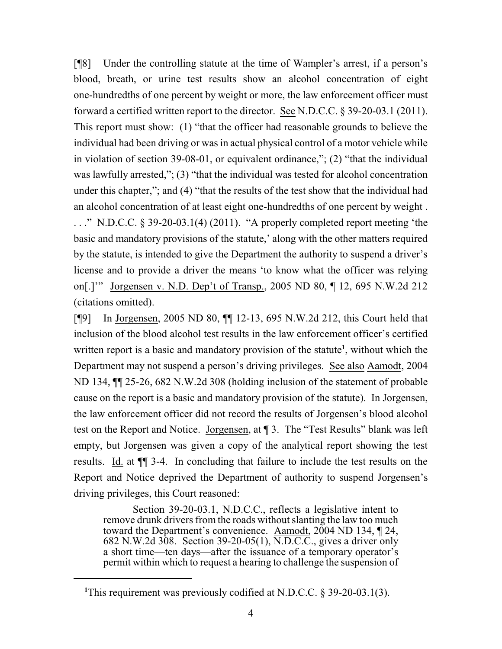[¶8] Under the controlling statute at the time of Wampler's arrest, if a person's blood, breath, or urine test results show an alcohol concentration of eight one-hundredths of one percent by weight or more, the law enforcement officer must forward a certified written report to the director. See N.D.C.C. § 39-20-03.1 (2011). This report must show: (1) "that the officer had reasonable grounds to believe the individual had been driving or was in actual physical control of a motor vehicle while in violation of section 39-08-01, or equivalent ordinance,"; (2) "that the individual was lawfully arrested,"; (3) "that the individual was tested for alcohol concentration under this chapter,"; and (4) "that the results of the test show that the individual had an alcohol concentration of at least eight one-hundredths of one percent by weight . . . ." N.D.C.C. § 39-20-03.1(4) (2011). "A properly completed report meeting 'the basic and mandatory provisions of the statute,' along with the other matters required by the statute, is intended to give the Department the authority to suspend a driver's license and to provide a driver the means 'to know what the officer was relying on[.]'" Jorgensen v. N.D. Dep't of Transp., 2005 ND 80, ¶ 12, 695 N.W.2d 212 (citations omitted).

[¶9] In Jorgensen, 2005 ND 80, ¶¶ 12-13, 695 N.W.2d 212, this Court held that inclusion of the blood alcohol test results in the law enforcement officer's certified written report is a basic and mandatory provision of the statute**<sup>1</sup>** , without which the Department may not suspend a person's driving privileges. See also Aamodt, 2004 ND 134, ¶¶ 25-26, 682 N.W.2d 308 (holding inclusion of the statement of probable cause on the report is a basic and mandatory provision of the statute). In Jorgensen, the law enforcement officer did not record the results of Jorgensen's blood alcohol test on the Report and Notice. Jorgensen, at ¶ 3. The "Test Results" blank was left empty, but Jorgensen was given a copy of the analytical report showing the test results. Id. at ¶¶ 3-4. In concluding that failure to include the test results on the Report and Notice deprived the Department of authority to suspend Jorgensen's driving privileges, this Court reasoned:

Section 39-20-03.1, N.D.C.C., reflects a legislative intent to remove drunk drivers from the roads without slanting the law too much toward the Department's convenience. Aamodt, 2004 ND 134, ¶ 24, 682 N.W.2d 308. Section 39-20-05(1), N.D.C.C., gives a driver only a short time—ten days—after the issuance of a temporary operator's permit within which to request a hearing to challenge the suspension of

<sup>&</sup>lt;sup>1</sup>This requirement was previously codified at N.D.C.C. § 39-20-03.1(3).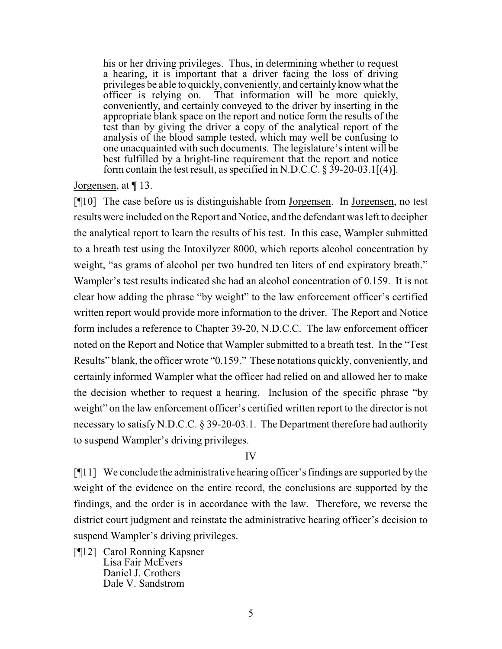his or her driving privileges. Thus, in determining whether to request a hearing, it is important that a driver facing the loss of driving privileges be able to quickly, conveniently, and certainlyknow what the officer is relying on. That information will be more quickly, conveniently, and certainly conveyed to the driver by inserting in the appropriate blank space on the report and notice form the results of the test than by giving the driver a copy of the analytical report of the analysis of the blood sample tested, which may well be confusing to one unacquainted with such documents. The legislature's intent will be best fulfilled by a bright-line requirement that the report and notice form contain the test result, as specified in N.D.C.C.  $\S$  39-20-03.1[(4)].

Jorgensen, at ¶ 13.

[¶10] The case before us is distinguishable from Jorgensen. In Jorgensen, no test results were included on the Report and Notice, and the defendant was left to decipher the analytical report to learn the results of his test. In this case, Wampler submitted to a breath test using the Intoxilyzer 8000, which reports alcohol concentration by weight, "as grams of alcohol per two hundred ten liters of end expiratory breath." Wampler's test results indicated she had an alcohol concentration of 0.159. It is not clear how adding the phrase "by weight" to the law enforcement officer's certified written report would provide more information to the driver. The Report and Notice form includes a reference to Chapter 39-20, N.D.C.C. The law enforcement officer noted on the Report and Notice that Wampler submitted to a breath test. In the "Test Results" blank, the officer wrote "0.159." These notations quickly, conveniently, and certainly informed Wampler what the officer had relied on and allowed her to make the decision whether to request a hearing. Inclusion of the specific phrase "by weight" on the law enforcement officer's certified written report to the director is not necessary to satisfy N.D.C.C. § 39-20-03.1. The Department therefore had authority to suspend Wampler's driving privileges.

### IV

[¶11] We conclude the administrative hearing officer's findings are supported by the weight of the evidence on the entire record, the conclusions are supported by the findings, and the order is in accordance with the law. Therefore, we reverse the district court judgment and reinstate the administrative hearing officer's decision to suspend Wampler's driving privileges.

[¶12] Carol Ronning Kapsner Lisa Fair McEvers Daniel J. Crothers Dale V. Sandstrom